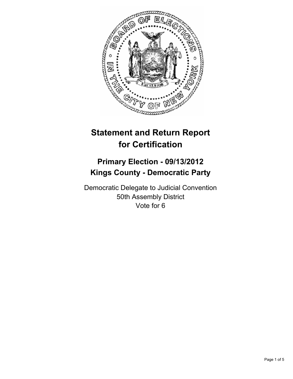

# **Statement and Return Report for Certification**

# **Primary Election - 09/13/2012 Kings County - Democratic Party**

Democratic Delegate to Judicial Convention 50th Assembly District Vote for 6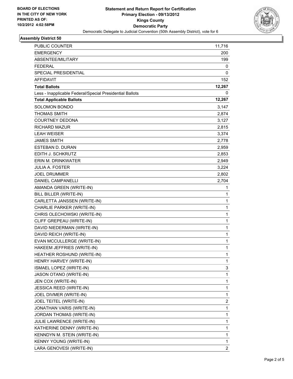

## **Assembly District 50**

| PUBLIC COUNTER                                           | 11,716         |
|----------------------------------------------------------|----------------|
| <b>EMERGENCY</b>                                         | 200            |
| ABSENTEE/MILITARY                                        | 199            |
| <b>FEDERAL</b>                                           | 0              |
| SPECIAL PRESIDENTIAL                                     | 0              |
| <b>AFFIDAVIT</b>                                         | 152            |
| <b>Total Ballots</b>                                     | 12,267         |
| Less - Inapplicable Federal/Special Presidential Ballots | 0              |
| <b>Total Applicable Ballots</b>                          | 12,267         |
| SOLOMON BONDO                                            | 3,147          |
| <b>THOMAS SMITH</b>                                      | 2,874          |
| <b>COURTNEY DEDONA</b>                                   | 3,127          |
| <b>RICHARD MAZUR</b>                                     | 2,815          |
| <b>LEAH WEISER</b>                                       | 3,374          |
| <b>JAMES SMITH</b>                                       | 2,778          |
| ESTEBAN D. DURAN                                         | 2,959          |
| EDITH J. SCHKRUTZ                                        | 2,853          |
| ERIN M. DRINKWATER                                       | 2,949          |
| <b>JULIA A. FOSTER</b>                                   | 3,224          |
| <b>JOEL DRUMMER</b>                                      | 2,802          |
| <b>DANIEL CAMPANELLI</b>                                 | 2,704          |
| AMANDA GREEN (WRITE-IN)                                  | 1              |
| BILL BILLER (WRITE-IN)                                   | 1              |
| CARLETTA JANSSEN (WRITE-IN)                              | 1              |
| CHARLIE PARKER (WRITE-IN)                                | $\mathbf 1$    |
| CHRIS OLECHOWSKI (WRITE-IN)                              | 1              |
| CLIFF GREPEAU (WRITE-IN)                                 | 1              |
| DAVID NIEDERMAN (WRITE-IN)                               | $\mathbf 1$    |
| DAVID REICH (WRITE-IN)                                   | 1              |
| EVAN MCCULLERGE (WRITE-IN)                               | 1              |
| HAKEEM JEFFRIES (WRITE-IN)                               | $\mathbf 1$    |
| HEATHER ROSHUND (WRITE-IN)                               | 1              |
| HENRY HARVEY (WRITE-IN)                                  | 1              |
| ISMAEL LOPEZ (WRITE-IN)                                  | 3              |
| JASON OTANO (WRITE-IN)                                   | 1              |
| JEN COX (WRITE-IN)                                       | 1              |
| <b>JESSICA REED (WRITE-IN)</b>                           | 1              |
| JOEL DIVMER (WRITE-IN)                                   | 1              |
| JOEL TEITEL (WRITE-IN)                                   | 2              |
| JONATHAN VARIS (WRITE-IN)                                | 1              |
| JORDAN THOMAS (WRITE-IN)                                 | 1              |
| JULIE LAWRENCE (WRITE-IN)                                | 1              |
| KATHERINE DENNY (WRITE-IN)                               | 1              |
| KENNDYN M. STEIN (WRITE-IN)                              | 1              |
| KENNY YOUNG (WRITE-IN)                                   | 1              |
| LARA GENOVESI (WRITE-IN)                                 | $\overline{2}$ |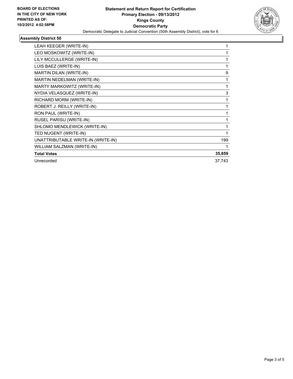

## **Assembly District 50**

| LEAH KEEGER (WRITE-IN)             |        |
|------------------------------------|--------|
| LEO MOSKOWITZ (WRITE-IN)           | 1      |
| LILY MCCULLERGE (WRITE-IN)         |        |
| LUIS BAEZ (WRITE-IN)               |        |
| MARTIN DILAN (WRITE-IN)            | 9      |
| <b>MARTIN NEDELMAN (WRITE-IN)</b>  | 1      |
| MARTY MARKOWITZ (WRITE-IN)         | 1      |
| NYDIA VELASQUEZ (WRITE-IN)         | 3      |
| RICHARD MORM (WRITE-IN)            | 1      |
| ROBERT J. REILLY (WRITE-IN)        | 1      |
| RON PAUL (WRITE-IN)                | 1      |
| RUSEL PARISU (WRITE-IN)            | 1      |
| SHLOMO MENDLEWICK (WRITE-IN)       |        |
| TED NUGENT (WRITE-IN)              |        |
| UNATTRIBUTABLE WRITE-IN (WRITE-IN) | 199    |
| WILLIAM SALZMAN (WRITE-IN)         |        |
| <b>Total Votes</b>                 | 35,859 |
| Unrecorded                         | 37,743 |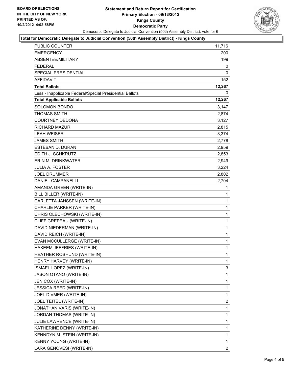

#### **Total for Democratic Delegate to Judicial Convention (50th Assembly District) - Kings County**

| PUBLIC COUNTER                                           | 11,716         |
|----------------------------------------------------------|----------------|
| <b>EMERGENCY</b>                                         | 200            |
| ABSENTEE/MILITARY                                        | 199            |
| <b>FEDERAL</b>                                           | 0              |
| <b>SPECIAL PRESIDENTIAL</b>                              | 0              |
| <b>AFFIDAVIT</b>                                         | 152            |
| <b>Total Ballots</b>                                     | 12,267         |
| Less - Inapplicable Federal/Special Presidential Ballots | 0              |
| <b>Total Applicable Ballots</b>                          | 12,267         |
| <b>SOLOMON BONDO</b>                                     | 3,147          |
| <b>THOMAS SMITH</b>                                      | 2,874          |
| <b>COURTNEY DEDONA</b>                                   | 3,127          |
| <b>RICHARD MAZUR</b>                                     | 2,815          |
| <b>LEAH WEISER</b>                                       | 3,374          |
| <b>JAMES SMITH</b>                                       | 2,778          |
| <b>ESTEBAN D. DURAN</b>                                  | 2,959          |
| EDITH J. SCHKRUTZ                                        | 2,853          |
| ERIN M. DRINKWATER                                       | 2,949          |
| <b>JULIA A. FOSTER</b>                                   | 3,224          |
| <b>JOEL DRUMMER</b>                                      | 2,802          |
| <b>DANIEL CAMPANELLI</b>                                 | 2,704          |
| AMANDA GREEN (WRITE-IN)                                  | 1              |
| BILL BILLER (WRITE-IN)                                   | 1              |
| CARLETTA JANSSEN (WRITE-IN)                              | 1              |
| CHARLIE PARKER (WRITE-IN)                                | 1              |
| CHRIS OLECHOWSKI (WRITE-IN)                              | $\mathbf{1}$   |
| CLIFF GREPEAU (WRITE-IN)                                 | 1              |
| DAVID NIEDERMAN (WRITE-IN)                               | 1              |
| DAVID REICH (WRITE-IN)                                   | $\mathbf{1}$   |
| EVAN MCCULLERGE (WRITE-IN)                               | 1              |
| HAKEEM JEFFRIES (WRITE-IN)                               | 1              |
| HEATHER ROSHUND (WRITE-IN)                               | $\mathbf{1}$   |
| HENRY HARVEY (WRITE-IN)                                  | 1              |
| ISMAEL LOPEZ (WRITE-IN)                                  | 3              |
| JASON OTANO (WRITE-IN)                                   | 1              |
| JEN COX (WRITE-IN)                                       | 1              |
| <b>JESSICA REED (WRITE-IN)</b>                           | 1              |
| JOEL DIVMER (WRITE-IN)                                   | 1              |
| JOEL TEITEL (WRITE-IN)                                   | $\overline{2}$ |
| <b>JONATHAN VARIS (WRITE-IN)</b>                         | 1              |
| JORDAN THOMAS (WRITE-IN)                                 | 1              |
| JULIE LAWRENCE (WRITE-IN)                                | 1              |
| KATHERINE DENNY (WRITE-IN)                               | 1              |
| KENNDYN M. STEIN (WRITE-IN)                              | 1              |
| KENNY YOUNG (WRITE-IN)                                   | $\mathbf 1$    |
| LARA GENOVESI (WRITE-IN)                                 | $\overline{2}$ |